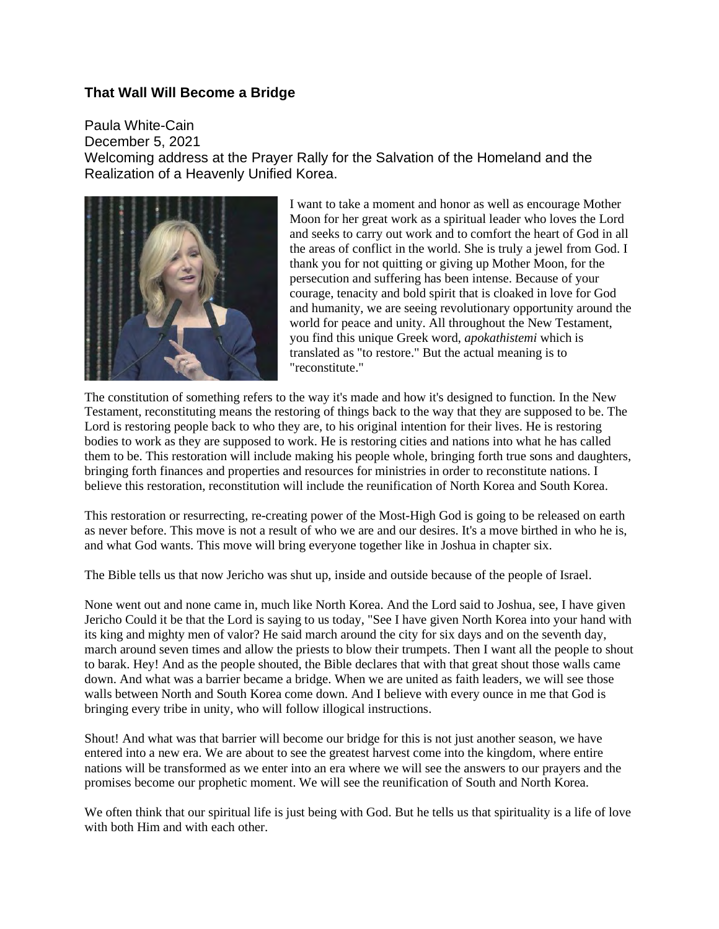## **That Wall Will Become a Bridge**

Paula White-Cain December 5, 2021 Welcoming address at the Prayer Rally for the Salvation of the Homeland and the Realization of a Heavenly Unified Korea.



I want to take a moment and honor as well as encourage Mother Moon for her great work as a spiritual leader who loves the Lord and seeks to carry out work and to comfort the heart of God in all the areas of conflict in the world. She is truly a jewel from God. I thank you for not quitting or giving up Mother Moon, for the persecution and suffering has been intense. Because of your courage, tenacity and bold spirit that is cloaked in love for God and humanity, we are seeing revolutionary opportunity around the world for peace and unity. All throughout the New Testament, you find this unique Greek word, *apokathistemi* which is translated as "to restore." But the actual meaning is to "reconstitute."

The constitution of something refers to the way it's made and how it's designed to function. In the New Testament, reconstituting means the restoring of things back to the way that they are supposed to be. The Lord is restoring people back to who they are, to his original intention for their lives. He is restoring bodies to work as they are supposed to work. He is restoring cities and nations into what he has called them to be. This restoration will include making his people whole, bringing forth true sons and daughters, bringing forth finances and properties and resources for ministries in order to reconstitute nations. I believe this restoration, reconstitution will include the reunification of North Korea and South Korea.

This restoration or resurrecting, re-creating power of the Most-High God is going to be released on earth as never before. This move is not a result of who we are and our desires. It's a move birthed in who he is, and what God wants. This move will bring everyone together like in Joshua in chapter six.

The Bible tells us that now Jericho was shut up, inside and outside because of the people of Israel.

None went out and none came in, much like North Korea. And the Lord said to Joshua, see, I have given Jericho Could it be that the Lord is saying to us today, "See I have given North Korea into your hand with its king and mighty men of valor? He said march around the city for six days and on the seventh day, march around seven times and allow the priests to blow their trumpets. Then I want all the people to shout to barak. Hey! And as the people shouted, the Bible declares that with that great shout those walls came down. And what was a barrier became a bridge. When we are united as faith leaders, we will see those walls between North and South Korea come down. And I believe with every ounce in me that God is bringing every tribe in unity, who will follow illogical instructions.

Shout! And what was that barrier will become our bridge for this is not just another season, we have entered into a new era. We are about to see the greatest harvest come into the kingdom, where entire nations will be transformed as we enter into an era where we will see the answers to our prayers and the promises become our prophetic moment. We will see the reunification of South and North Korea.

We often think that our spiritual life is just being with God. But he tells us that spirituality is a life of love with both Him and with each other.